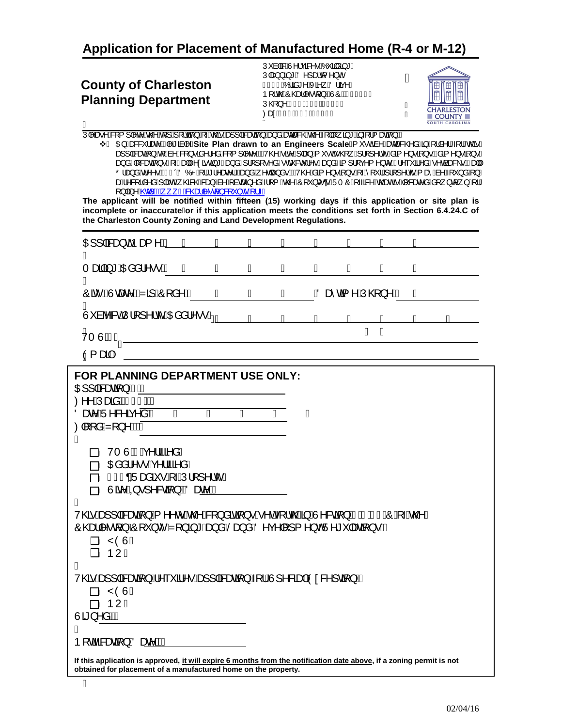**Application for Placement of Manufactured Home (R-4 or M-12)**

## **County of Charleston Planning Department**

Ú à alla Antica en Áo aa + Á  $U$  $\left[\frac{3}{4}, \frac{3}{4}\right]$   $\left[\frac{3}{4}\right]$   $\left[\frac{3}{4}\right]$   $\left[\frac{3}{4}\right]$   $\left[\frac{3}{4}\right]$   $\left[\frac{3}{4}\right]$ I€IÍÁÓ¦ãå\*^ÁXã^¸ÁÖ¦ãç^/ b[¦c@AO@ea|^∙d{}EAUOAAGJI€I/ ÚO2}^ÂIHËGEGËIGEEÁ ØærÅ I HËGEGË GGGÁ ľ



U|^æ^^&Q{]|^c^&o@^&[]A|{dq}A\~Ax@s^&e}]|a&æqq}}&e)a`Assecae&@Ax@^A{||[,a}\*As}-{{aeqq}}M  $\overrightarrow{AB}$ 

تA O <del>G</del>A A B&X læ^mill^A filo Mille Plan drawn to an Engineers Scale A( ˇ •οΑ à ^ A æcæ&@ å Ağ A ¦ là^ ¦A { láo a za}]|ā&zezā}Aq{Aà^A&[}●ãâ^¦^åA&[{]|^c^EAAV@^A^ãz^A}|za}A{`●cA∙@Q}\_A}¦[]^¦c^Aåã{^}•ã{}•EAåã{^}●ã}•/ an}åA|[&aenā}∙A[-Aana|A^¢ārdā,\*Aan}åA]¦[][•^åA∙d`&c̃¦^•Aan}åAa[]¦[ç^{^}orEA¦^`\*ã^åA∙^càaa&\•EAana|/ Õ¦æ)åÁd^^•ÁGEI+ÁÖÓPÁ{¦Á°¦^æc^¦DÁæ}åÁ}^qæ}å•ĚÁV@^Áâã{^}•ã{→k^{{`¦Å¦[]^¦ćÁ{æ`Áa^Á{`}åÁ{}/ zaÁl^&[¦å^åÁ]|ædéÁ,@&@Á&za}Áà^Á{àœóa}^åÁ√¦{Á@^ÁÔ[ˇ}c`qáÜTÔÁ{⊶a&^Ác@eoÁněh{&æe^åÁå[¸}qí,}Á[¦Á  $[\ ]$  $\beta \wedge \overline{Q_0}$   $\overline{RP}$ ,  $\overline{GR}$  $Q_0$  $\vee$   $\gamma$   $\in$   $\mathbb{R}$   $\vee$   $\beta$   $\in$   $\mathbb{R}$   $\vee$   $\mathbb{R}$  $\overline{\mathbf{p}}$  o an Engineers  $\overline{\mathbf{S}}$ 

**The applicant will be notified within fifteen (15) working days if this application or site plan is incomplete or inaccurateor if this application meets the conditions set forth in Section 6.4.24.C of the Charleston County Zoning and Land Development Regulations.**

| O El alca do Da se No A                                                                                                                                                                        |   |   |   |   |                |   |   |  |
|------------------------------------------------------------------------------------------------------------------------------------------------------------------------------------------------|---|---|---|---|----------------|---|---|--|
| Tæa@ā*ÁOBåå¦^••KÁ Á                                                                                                                                                                            | Á | Á | Á | Á | Á              | Á | Á |  |
| Á<br>Ôã cấN cae^É2ZajÁÔ [å^KÁ                                                                                                                                                                  | Á | Á | Á |   | ÁÖæ∂@ī^ÁÚ@}}NÁ |   | A |  |
| A<br>Û° àb&dÚ¦[]^¦c^ÁDãå¦^•∙Kýá                                                                                                                                                                |   |   |   |   |                |   |   |  |
| ∜τ ὺ/ÀΚ.                                                                                                                                                                                       |   |   |   |   | Á              |   |   |  |
| Q Yaajk                                                                                                                                                                                        |   |   |   |   |                |   |   |  |
| FOR PLANNING DEPARTMENT USE ONLY:                                                                                                                                                              |   |   |   |   |                |   |   |  |
| CHI   ascean } ANA<br>Ø^^ÁJæãåÁQĂF€DAÁ                                                                                                                                                         |   |   |   |   |                |   |   |  |
| ÖærAÜ^&^ãr^ãKA<br>Ã                                                                                                                                                                            | Ã | Ã | Ã | Á |                |   |   |  |
| $\mathcal{O}$ [[å $\mathcal{H}$ [}^k $\mathcal{H}$<br>A                                                                                                                                        |   |   |   |   |                |   |   |  |
| ⊟⊾ VTÙAÀ√e^¦ãã^åÁ                                                                                                                                                                              |   |   |   |   |                |   |   |  |
| ∏⊾ Œåå¦^•∙Áç^¦ãã^åÁ                                                                                                                                                                            |   |   |   |   |                |   |   |  |
| ⊟∖H€€oAÜæåã∙Át-ÁÚ¦[]^¦ĉÁ                                                                                                                                                                       |   |   |   |   |                |   |   |  |
| <b>TAU ãMQ• 1 ^ &amp;cã } ÉLÖæ <u>M</u>Á</b><br>Á                                                                                                                                              |   |   |   |   |                |   |   |  |
| V@6 Áæ]] B&æ@\$}Á{^^@ Ás@ Á&{}å@\$\$} •Á^o4{¦c@4&jA^&@\$}ÂĤEGIEO} A Ás@A                                                                                                                       |   |   |   |   |                |   |   |  |
| Ô@eel ^•q{}ÁÔ[ˇ}c´ÁZ[}ã}*Áæ}åÁŠæ}åÁÖ^ç^ []{^}cÁÜ^*ˇ æaã{}•KÁ                                                                                                                                   |   |   |   |   |                |   |   |  |
| ∏\ ŸÒÙÁ                                                                                                                                                                                        |   |   |   |   |                |   |   |  |
| ⊟∖ ÞUÁ<br>Á                                                                                                                                                                                    |   |   |   |   |                |   |   |  |
| V@sáza}] a3czeząi}Á^~~ a1^•Áza}] a3czeząi}Á{¦ÁÚ]^8czed4Ó0c&^]caj}KÁ                                                                                                                            |   |   |   |   |                |   |   |  |
| ∏Á ŸÒÙÁ                                                                                                                                                                                        |   |   |   |   |                |   |   |  |
| ∏á ÞUÁ                                                                                                                                                                                         |   |   |   |   |                |   |   |  |
| $U$ ã } ^ å $M$ Å<br>А                                                                                                                                                                         |   |   |   |   |                |   |   |  |
| <b>P</b> [cãã & ceat] A Özer MÁ                                                                                                                                                                |   |   |   |   |                |   |   |  |
| If this application is approved, <u>it will expire 6 months from the notification date above</u> , if a zoning permit is not<br>obtained for placement of a manufactured home on the property. |   |   |   |   |                |   |   |  |